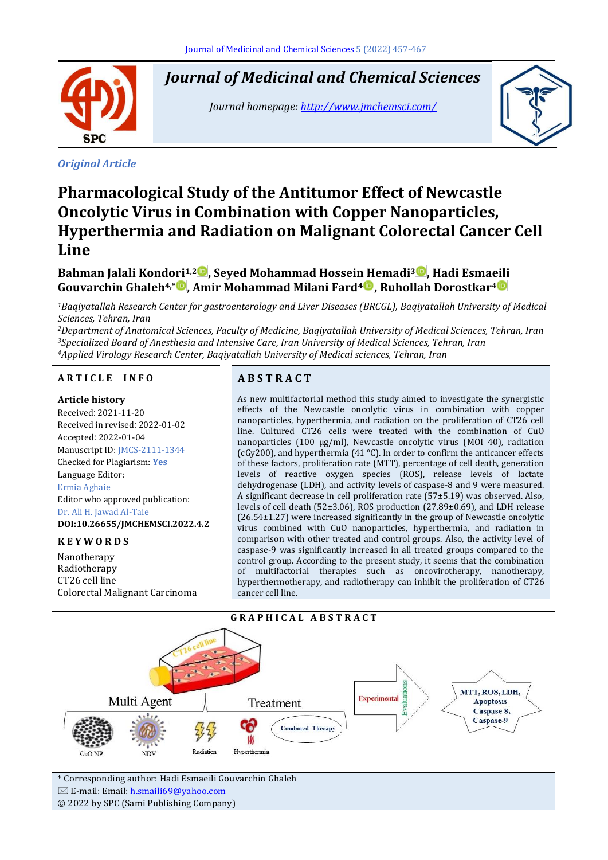Ī **SPC** 

*Original Article*

# *Journal of Medicinal and Chemical Sciences*

*Journal homepage[: http://www.jmchemsci.com/](http://www.jmchemsci.com/)*



# **Pharmacological Study of the Antitumor Effect of Newcastle Oncolytic Virus in Combination with Copper Nanoparticles, Hyperthermia and Radiation on Malignant Colorectal Cancer Cell Line**

# **Bahman Jalali Kondori1,2 , Seyed Mohammad Hossein Hemadi<sup>3</sup> , Hadi Esmaeili Gouvarchin Ghaleh4,\* , Amir Mohammad Milani Fard<sup>4</sup> , Ruhollah Dorostkar<sup>4</sup>**

*<sup>1</sup>Baqiyatallah Research Center for gastroenterology and Liver Diseases (BRCGL), Baqiyatallah University of Medical Sciences, Tehran, Iran*

*<sup>2</sup>Department of Anatomical Sciences, Faculty of Medicine, Baqiyatallah University of Medical Sciences, Tehran, Iran <sup>3</sup>Specialized Board of Anesthesia and Intensive Care, Iran University of Medical Sciences, Tehran, Iran <sup>4</sup>Applied Virology Research Center, Baqiyatallah University of Medical sciences, Tehran, Iran*

#### **A R T I C L E I N F O A B S T R A C T**

#### **Article history**

Received: 2021-11-20 Received in revised: 2022-01-02 Accepted: 2022-01-04 Manuscript ID: JMCS-2111-1344 Checked for Plagiarism: **Yes** Language Editor: Ermia Aghaie Editor who approved publication: Dr. Ali H. Jawad Al-Taie **DOI:10.26655/JMCHEMSCI.2022.4.2**

#### **K E Y W O R D S**

**Nanotherapy** Radiotherapy CT26 cell line Colorectal Malignant Carcinoma

As new multifactorial method this study aimed to investigate the synergistic effects of the Newcastle oncolytic virus in combination with copper nanoparticles, hyperthermia, and radiation on the proliferation of CT26 cell line. Cultured CT26 cells were treated with the combination of CuO nanoparticles (100 µg/ml), Newcastle oncolytic virus (MOI 40), radiation (cGy200), and hyperthermia (41 °C). In order to confirm the anticancer effects of these factors, proliferation rate (MTT), percentage of cell death, generation levels of reactive oxygen species (ROS), release levels of lactate dehydrogenase (LDH), and activity levels of caspase-8 and 9 were measured. A significant decrease in cell proliferation rate (57±5.19) was observed. Also, levels of cell death (52±3.06), ROS production (27.89±0.69), and LDH release (26.54±1.27) were increased significantly in the group of Newcastle oncolytic virus combined with CuO nanoparticles, hyperthermia, and radiation in comparison with other treated and control groups. Also, the activity level of caspase-9 was significantly increased in all treated groups compared to the control group. According to the present study, it seems that the combination of multifactorial therapies such as oncovirotherapy, nanotherapy, hyperthermotherapy, and radiotherapy can inhibit the proliferation of CT26 cancer cell line.





\* Corresponding author: Hadi Esmaeili Gouvarchin Ghaleh  $\boxtimes$  E-mail: Email: [h.smaili69@yahoo.com](mailto:h.smaili69@yahoo.com) © 2022 by SPC (Sami Publishing Company)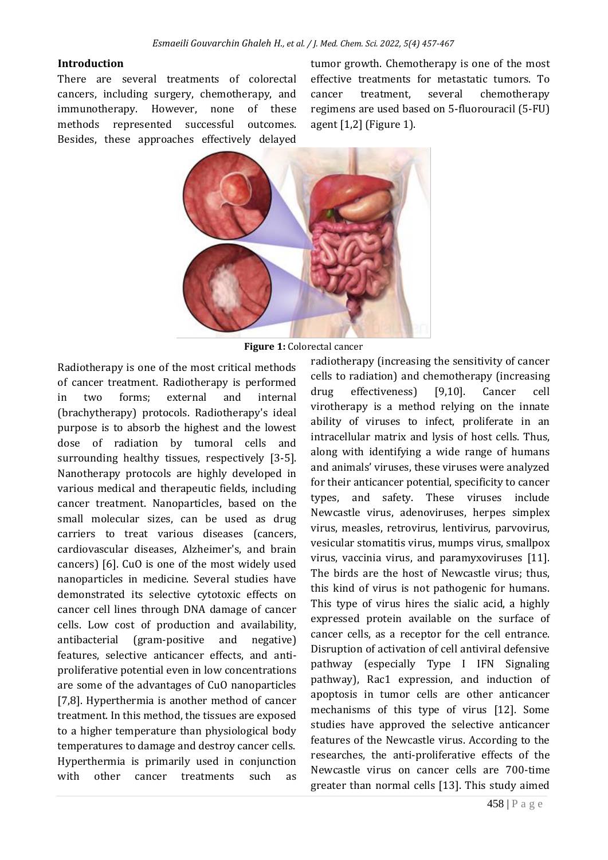#### **Introduction**

There are several treatments of colorectal cancers, including surgery, chemotherapy, and immunotherapy. However, none of these methods represented successful outcomes. Besides, these approaches effectively delayed tumor growth. Chemotherapy is one of the most effective treatments for metastatic tumors. To cancer treatment, several chemotherapy regimens are used based on 5-fluorouracil (5-FU) agent [1,2] (Figure 1).



**Figure 1:** Colorectal cancer

Radiotherapy is one of the most critical methods of cancer treatment. Radiotherapy is performed in two forms; external and internal (brachytherapy) protocols. Radiotherapy's ideal purpose is to absorb the highest and the lowest dose of radiation by tumoral cells and surrounding healthy tissues, respectively [3-5]. Nanotherapy protocols are highly developed in various medical and therapeutic fields, including cancer treatment. Nanoparticles, based on the small molecular sizes, can be used as drug carriers to treat various diseases (cancers, cardiovascular diseases, Alzheimer's, and brain cancers) [6]. CuO is one of the most widely used nanoparticles in medicine. Several studies have demonstrated its selective cytotoxic effects on cancer cell lines through DNA damage of cancer cells. Low cost of production and availability, antibacterial (gram-positive and negative) features, selective anticancer effects, and antiproliferative potential even in low concentrations are some of the advantages of CuO nanoparticles [7,8]. Hyperthermia is another method of cancer treatment. In this method, the tissues are exposed to a higher temperature than physiological body temperatures to damage and destroy cancer cells. Hyperthermia is primarily used in conjunction with other cancer treatments such as

radiotherapy (increasing the sensitivity of cancer cells to radiation) and chemotherapy (increasing drug effectiveness) [9,10]. Cancer cell virotherapy is a method relying on the innate ability of viruses to infect, proliferate in an intracellular matrix and lysis of host cells. Thus, along with identifying a wide range of humans and animals' viruses, these viruses were analyzed for their anticancer potential, specificity to cancer types, and safety. These viruses include Newcastle virus, adenoviruses, herpes simplex virus, measles, retrovirus, lentivirus, parvovirus, vesicular stomatitis virus, mumps virus, smallpox virus, vaccinia virus, and paramyxoviruses [11]. The birds are the host of Newcastle virus; thus, this kind of virus is not pathogenic for humans. This type of virus hires the sialic acid, a highly expressed protein available on the surface of cancer cells, as a receptor for the cell entrance. Disruption of activation of cell antiviral defensive pathway (especially Type I IFN Signaling pathway), Rac1 expression, and induction of apoptosis in tumor cells are other anticancer mechanisms of this type of virus [12]. Some studies have approved the selective anticancer features of the Newcastle virus. According to the researches, the anti-proliferative effects of the Newcastle virus on cancer cells are 700-time greater than normal cells [13]. This study aimed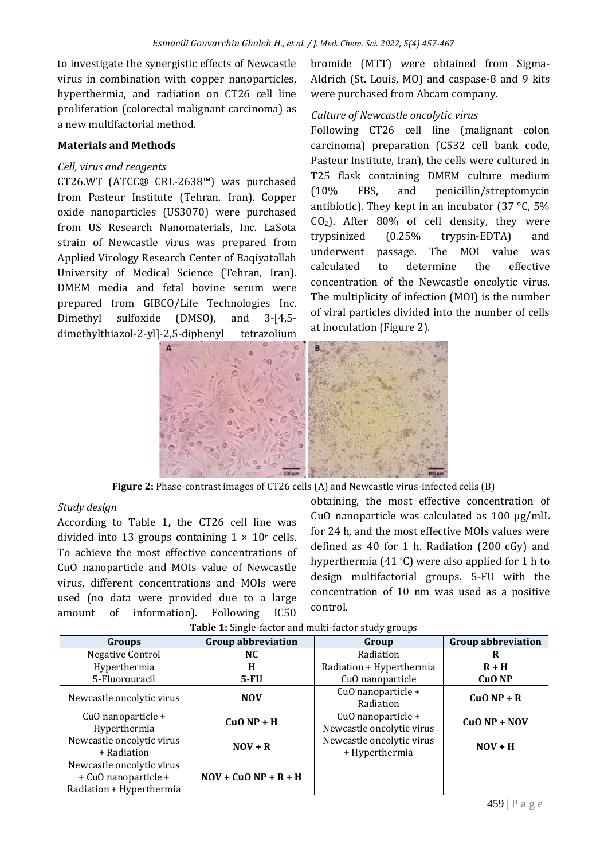to investigate the synergistic effects of Newcastle virus in combination with copper nanoparticles, hyperthermia, and radiation on CT26 cell line proliferation (colorectal malignant carcinoma) as a new multifactorial method.

#### **Materials and Methods**

## *Cell, virus and reagents*

CT26.WT (ATCC® CRL-2638™) was purchased from Pasteur Institute (Tehran, Iran). Copper oxide nanoparticles (US3070) were purchased from US Research Nanomaterials, Inc. LaSota strain of Newcastle virus was prepared from Applied Virology Research Center of Baqiyatallah University of Medical Science (Tehran, Iran). DMEM media and fetal bovine serum were prepared from GIBCO/Life Technologies Inc. Dimethyl sulfoxide (DMSO), and 3-[4,5 dimethylthiazol-2-yl]-2,5-diphenyl tetrazolium

bromide (MTT) were obtained from Sigma-Aldrich (St. Louis, MO) and caspase-8 and 9 kits were purchased from Abcam company.

#### *Culture of Newcastle oncolytic virus*

Following CT26 cell line (malignant colon carcinoma) preparation (C532 cell bank code, Pasteur Institute, Iran), the cells were cultured in T25 flask containing DMEM culture medium (10% FBS, and penicillin/streptomycin antibiotic). They kept in an incubator (37 °C, 5%  $CO<sub>2</sub>$ ). After 80% of cell density, they were trypsinized (0.25% trypsin-EDTA) and underwent passage. The MOI value was calculated to determine the effective concentration of the Newcastle oncolytic virus. The multiplicity of infection (MOI) is the number of viral particles divided into the number of cells at inoculation (Figure 2).



**Figure 2:** Phase-contrast images of CT26 cells (A) and Newcastle virus-infected cells (B)

#### *Study design*

According to Table 1**,** the CT26 cell line was divided into 13 groups containing  $1 \times 10^6$  cells. To achieve the most effective concentrations of CuO nanoparticle and MOIs value of Newcastle virus, different concentrations and MOIs were used (no data were provided due to a large amount of information). Following IC50

obtaining, the most effective concentration of CuO nanoparticle was calculated as  $100 \mu g$ /mlL for 24 h, and the most effective MOIs values were defined as 40 for 1 h. Radiation (200 cGy) and hyperthermia (41 °C) were also applied for 1 h to design multifactorial groups. 5-FU with the concentration of 10 nm was used as a positive control.

| <b>Groups</b>                                                                 | <b>Group abbreviation</b><br>Group |                                                 | <b>Group abbreviation</b> |  |
|-------------------------------------------------------------------------------|------------------------------------|-------------------------------------------------|---------------------------|--|
| Negative Control                                                              | NC                                 | Radiation                                       | R                         |  |
| Hyperthermia                                                                  | H                                  | Radiation + Hyperthermia                        | $R + H$                   |  |
| 5-Fluorouracil                                                                | CuO nanoparticle<br><b>5-FU</b>    |                                                 | CuO <sub>NP</sub>         |  |
| Newcastle oncolytic virus                                                     | <b>NOV</b>                         | CuO nanoparticle +<br>Radiation                 | $CuO NP + R$              |  |
| CuO nanoparticle +<br>Hyperthermia                                            | $CuO NP + H$                       | CuO nanoparticle +<br>Newcastle oncolytic virus | $CuO NP + NOV$            |  |
| Newcastle oncolytic virus<br>+ Radiation                                      | $NOV + R$                          | Newcastle oncolytic virus<br>+ Hyperthermia     | $NOV + H$                 |  |
| Newcastle oncolytic virus<br>+ CuO nanoparticle +<br>Radiation + Hyperthermia | $NOV + CuO NP + R + H$             |                                                 |                           |  |

**Table 1:** Single-factor and multi-factor study groups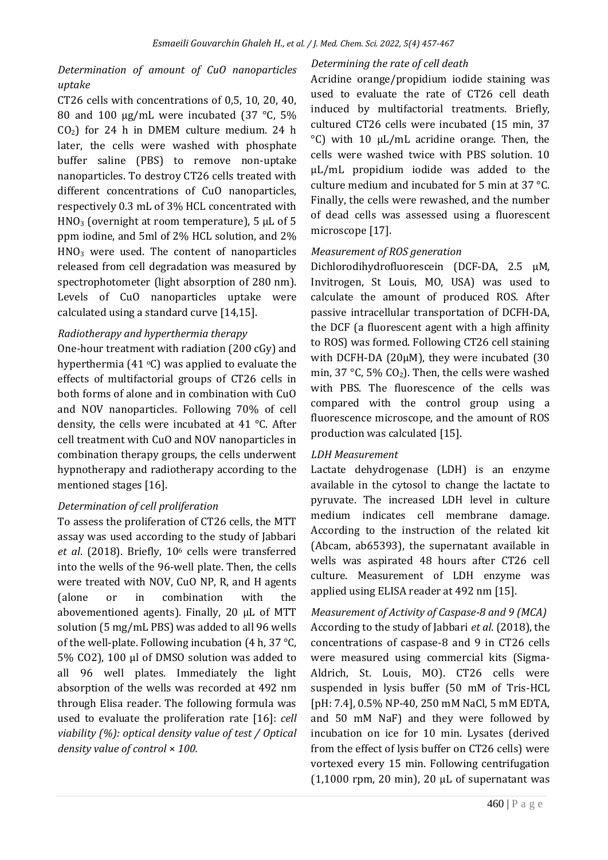# *Determination of amount of CuO nanoparticles uptake*

CT26 cells with concentrations of 0,5, 10, 20, 40, 80 and 100  $\mu$ g/mL were incubated (37 °C, 5%  $CO<sub>2</sub>$ ) for 24 h in DMEM culture medium. 24 h later, the cells were washed with phosphate buffer saline (PBS) to remove non-uptake nanoparticles. To destroy CT26 cells treated with different concentrations of CuO nanoparticles, respectively 0.3 mL of 3% HCL concentrated with HNO<sub>3</sub> (overnight at room temperature),  $5 \mu L$  of  $5 \mu L$ ppm iodine, and 5ml of 2% HCL solution, and 2% HNO<sup>3</sup> were used. The content of nanoparticles released from cell degradation was measured by spectrophotometer (light absorption of 280 nm). Levels of CuO nanoparticles uptake were calculated using a standard curve [14,15].

## *Radiotherapy and hyperthermia therapy*

One-hour treatment with radiation (200 cGy) and hyperthermia (41 $\degree$ C) was applied to evaluate the effects of multifactorial groups of CT26 cells in both forms of alone and in combination with CuO and NOV nanoparticles. Following 70% of cell density, the cells were incubated at 41 °C. After cell treatment with CuO and NOV nanoparticles in combination therapy groups, the cells underwent hypnotherapy and radiotherapy according to the mentioned stages [16].

# *Determination of cell proliferation*

To assess the proliferation of CT26 cells, the MTT assay was used according to the study of Jabbari *et al*. (2018). Briefly, 10<sup>6</sup> cells were transferred into the wells of the 96-well plate. Then, the cells were treated with NOV, CuO NP, R, and H agents (alone or in combination with the abovementioned agents). Finally, 20 µL of MTT solution (5 mg/mL PBS) was added to all 96 wells of the well-plate. Following incubation (4 h, 37 °C, 5% CO2), 100 µl of DMSO solution was added to all 96 well plates. Immediately the light absorption of the wells was recorded at 492 nm through Elisa reader. The following formula was used to evaluate the proliferation rate [16]: *cell viability (%): optical density value of test / Optical density value of control* × *100.*

## *Determining the rate of cell death*

Acridine orange/propidium iodide staining was used to evaluate the rate of CT26 cell death induced by multifactorial treatments. Briefly, cultured CT26 cells were incubated (15 min, 37 °C) with 10 μL/mL acridine orange. Then, the cells were washed twice with PBS solution. 10 μL/mL propidium iodide was added to the culture medium and incubated for 5 min at 37 °C. Finally, the cells were rewashed, and the number of dead cells was assessed using a fluorescent microscope [17].

## *Measurement of ROS generation*

Dichlorodihydrofluorescein (DCF-DA, 2.5 µM, Invitrogen, St Louis, MO, USA) was used to calculate the amount of produced ROS. After passive intracellular transportation of DCFH-DA, the DCF (a fluorescent agent with a high affinity to ROS) was formed. Following CT26 cell staining with DCFH-DA (20µM), they were incubated (30 min, 37 °C, 5% CO<sub>2</sub>). Then, the cells were washed with PBS. The fluorescence of the cells was compared with the control group using a fluorescence microscope, and the amount of ROS production was calculated [15].

#### *LDH Measurement*

Lactate dehydrogenase (LDH) is an enzyme available in the cytosol to change the lactate to pyruvate. The increased LDH level in culture medium indicates cell membrane damage. According to the instruction of the related kit (Abcam, ab65393), the supernatant available in wells was aspirated 48 hours after CT26 cell culture. Measurement of LDH enzyme was applied using ELISA reader at 492 nm [15].

*Measurement of Activity of Caspase-8 and 9 (MCA)* According to the study of Jabbari *et al*. (2018), the concentrations of caspase-8 and 9 in CT26 cells were measured using commercial kits (Sigma-Aldrich, St. Louis, MO). CT26 cells were suspended in lysis buffer (50 mM of Tris-HCL [pH: 7.4], 0.5% NP-40, 250 mM NaCl, 5 mM EDTA, and 50 mM NaF) and they were followed by incubation on ice for 10 min. Lysates (derived from the effect of lysis buffer on CT26 cells) were vortexed every 15 min. Following centrifugation  $(1,1000$  rpm, 20 min), 20  $\mu$ L of supernatant was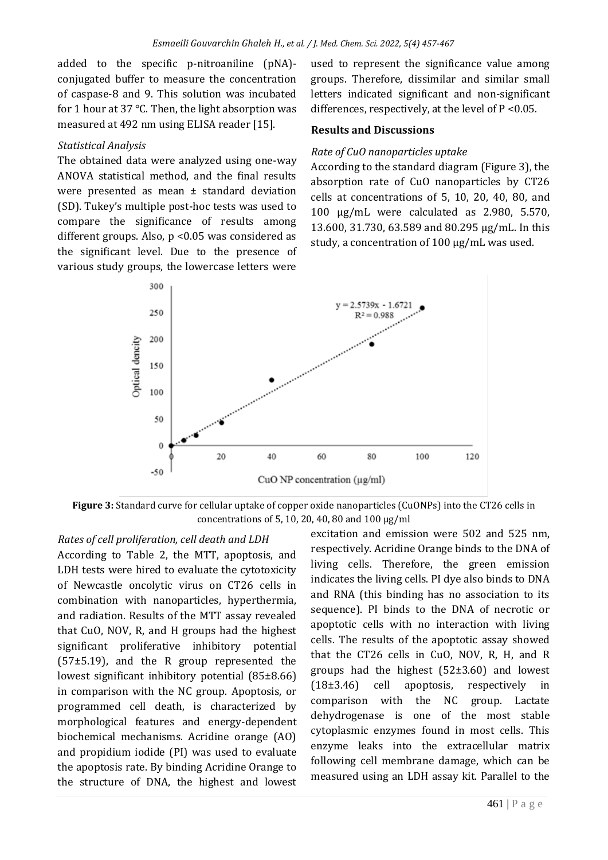added to the specific p-nitroaniline (pNA) conjugated buffer to measure the concentration of caspase-8 and 9. This solution was incubated for 1 hour at 37 °C. Then, the light absorption was measured at 492 nm using ELISA reader [15].

#### *Statistical Analysis*

The obtained data were analyzed using one-way ANOVA statistical method, and the final results were presented as mean ± standard deviation (SD). Tukey's multiple post-hoc tests was used to compare the significance of results among different groups. Also, p <0.05 was considered as the significant level. Due to the presence of various study groups, the lowercase letters were

used to represent the significance value among groups. Therefore, dissimilar and similar small letters indicated significant and non-significant differences, respectively, at the level of  $P < 0.05$ .

#### **Results and Discussions**

#### *Rate of CuO nanoparticles uptake*

According to the standard diagram (Figure 3), the absorption rate of CuO nanoparticles by CT26 cells at concentrations of 5, 10, 20, 40, 80, and 100 μg/mL were calculated as 2.980, 5.570, 13.600, 31.730, 63.589 and 80.295 μg/mL. In this study, a concentration of 100 μg/mL was used.



**Figure 3:** Standard curve for cellular uptake of copper oxide nanoparticles (CuONPs) into the CT26 cells in concentrations of 5, 10, 20, 40, 80 and 100 µg/ml

*Rates of cell proliferation, cell death and LDH* According to Table 2, the MTT, apoptosis, and LDH tests were hired to evaluate the cytotoxicity of Newcastle oncolytic virus on CT26 cells in combination with nanoparticles, hyperthermia, and radiation. Results of the MTT assay revealed that CuO, NOV, R, and H groups had the highest significant proliferative inhibitory potential (57±5.19), and the R group represented the lowest significant inhibitory potential (85±8.66) in comparison with the NC group. Apoptosis, or programmed cell death, is characterized by morphological features and energy-dependent biochemical mechanisms. Acridine orange (AO) and propidium iodide (PI) was used to evaluate the apoptosis rate. By binding Acridine Orange to the structure of DNA, the highest and lowest

excitation and emission were 502 and 525 nm, respectively. Acridine Orange binds to the DNA of living cells. Therefore, the green emission indicates the living cells. PI dye also binds to DNA and RNA (this binding has no association to its sequence). PI binds to the DNA of necrotic or apoptotic cells with no interaction with living cells. The results of the apoptotic assay showed that the CT26 cells in CuO, NOV, R, H, and R groups had the highest (52±3.60) and lowest (18±3.46) cell apoptosis, respectively in comparison with the NC group. Lactate dehydrogenase is one of the most stable cytoplasmic enzymes found in most cells. This enzyme leaks into the extracellular matrix following cell membrane damage, which can be measured using an LDH assay kit. Parallel to the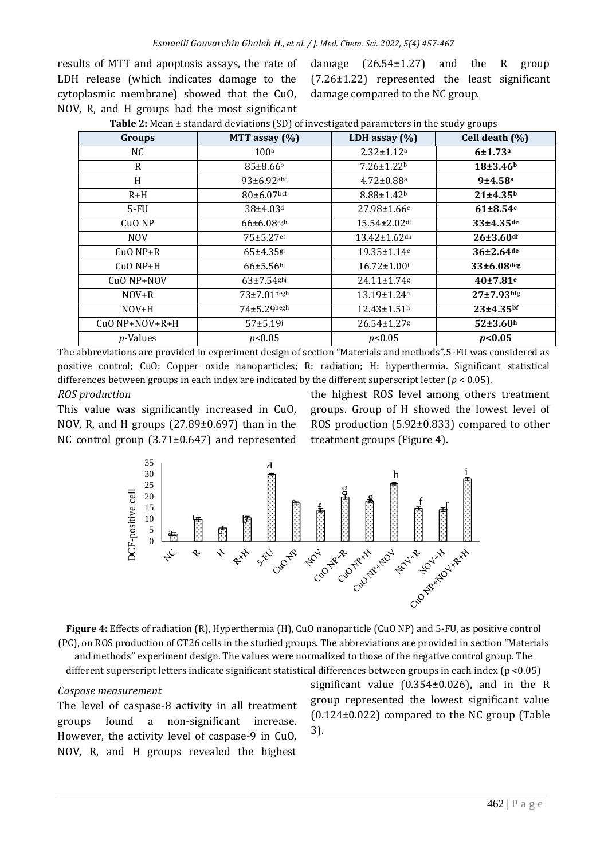results of MTT and apoptosis assays, the rate of LDH release (which indicates damage to the cytoplasmic membrane) showed that the CuO, NOV, R, and H groups had the most significant

damage  $(26.54\pm1.27)$  and the R group (7.26±1.22) represented the least significant damage compared to the NC group.

|                  | Groups<br>MTT assay $(\%)$<br>LDH assay $(\%)$ |                               |                       |
|------------------|------------------------------------------------|-------------------------------|-----------------------|
|                  |                                                |                               | Cell death (%)        |
| NC               | 100a                                           | $2.32 \pm 1.12$ <sup>a</sup>  | 6±1.73a               |
| R                | $85{\pm}8.66^{\rm b}$                          | $7.26 \pm 1.22^b$             | 18±3.46 <sup>b</sup>  |
| H                | 93±6.92abc                                     | $4.72 \pm 0.88$ <sup>a</sup>  | 9±4.58 <sup>a</sup>   |
| $R+H$            | $80\pm6.07$ bcf                                | $8.88 \pm 1.42$               | 21±4.35 <sup>b</sup>  |
| 5-FU             | $38{\pm}4.03$ <sup>d</sup>                     | $27.98 \pm 1.66c$             | $61\pm8.54c$          |
| CuO NP           | $66\pm6.08$ egh                                | $15.54 \pm 2.02$ df           | 33±4.35de             |
| NOV              | $75 + 5.27$ ef                                 | 13.42±1.62dh                  | $26 + 3.60$ df        |
| $CuO NP+R$       | $65 + 4.35$ <sup>gi</sup>                      | 19.35±1.14 <sup>e</sup>       | 36±2.64 <sup>de</sup> |
| $CuO NP+H$       | $66 \pm 5.56$ hi                               | $16.72 \pm 1.00$ <sup>f</sup> | 33±6.08deg            |
| CuO NP+NOV       | $63 + 7.54$ <sup>ghj</sup>                     | 24.11±1.74g                   | 40±7.81 <sup>e</sup>  |
| $NOV+R$          | $73+7.01$ begh                                 | $13.19 \pm 1.24$ <sup>h</sup> | $27 + 7.93$ bfg       |
| $NOV+H$          | $74 \pm 5.29$ begh                             | $12.43 \pm 1.51$ <sup>h</sup> | $23 + 4.35$ bf        |
| CuO NP+NOV+R+H   | $57 + 5.19$                                    | 26.54±1.27g                   | 52±3.60h              |
| <i>p</i> -Values | p<0.05                                         | p<0.05                        | p<0.05                |

| <b>Table 2:</b> Mean ± standard deviations (SD) of investigated parameters in the study groups |  |  |  |  |
|------------------------------------------------------------------------------------------------|--|--|--|--|
|                                                                                                |  |  |  |  |

The abbreviations are provided in experiment design of section "Materials and methods".5-FU was considered as positive control; CuO: Copper oxide nanoparticles; R: radiation; H: hyperthermia. Significant statistical differences between groups in each index are indicated by the different superscript letter ( $p < 0.05$ ).

#### *ROS production*

This value was significantly increased in CuO, NOV, R, and H groups (27.89±0.697) than in the NC control group (3.71±0.647) and represented

the highest ROS level among others treatment groups. Group of H showed the lowest level of ROS production (5.92±0.833) compared to other treatment groups (Figure 4).



**Figure 4:** Effects of radiation (R), Hyperthermia (H), CuO nanoparticle (CuO NP) and 5-FU, as positive control (PC), on ROS production of CT26 cells in the studied groups. The abbreviations are provided in section "Materials and methods" experiment design. The values were normalized to those of the negative control group. The

different superscript letters indicate significant statistical differences between groups in each index (p <0.05)

#### *Caspase measurement*

The level of caspase-8 activity in all treatment groups found a non-significant increase. However, the activity level of caspase-9 in CuO, NOV, R, and H groups revealed the highest

significant value (0.354±0.026), and in the R group represented the lowest significant value (0.124±0.022) compared to the NC group (Table 3).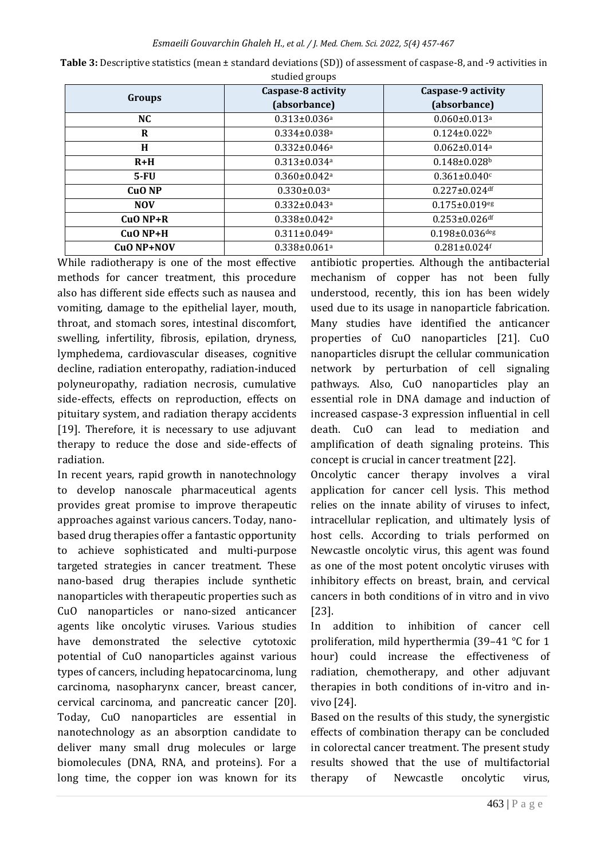|                   | Caspase-8 activity             | Caspase-9 activity             |
|-------------------|--------------------------------|--------------------------------|
| Groups            | (absorbance)                   | (absorbance)                   |
| NC.               | $0.313 \pm 0.036$ <sup>a</sup> | $0.060 \pm 0.013$ <sup>a</sup> |
| R                 | $0.334 \pm 0.038$ <sup>a</sup> | $0.124 \pm 0.022$              |
| H                 | $0.332 \pm 0.046$ <sup>a</sup> | $0.062 \pm 0.014$ <sup>a</sup> |
| $R+H$             | $0.313 \pm 0.034$ <sup>a</sup> | $0.148 \pm 0.028$              |
| $5-FU$            | $0.360 \pm 0.042$ <sup>a</sup> | $0.361 \pm 0.040$ c            |
| CuO <sub>NP</sub> | $0.330 \pm 0.03$ <sup>a</sup>  | $0.227 \pm 0.024$ df           |
| <b>NOV</b>        | $0.332 \pm 0.043$ <sup>a</sup> | $0.175 \pm 0.019$ eg           |
| $CuO NP+R$        | $0.338 \pm 0.042$ <sup>a</sup> | $0.253 \pm 0.026$ df           |
| $CuO NP+H$        | $0.311 \pm 0.049$ <sup>a</sup> | $0.198 \pm 0.036$ deg          |
| CuO NP+NOV        | $0.338 \pm 0.061$ <sup>a</sup> | $0.281 \pm 0.024$ f            |

**Table 3:** Descriptive statistics (mean ± standard deviations (SD)) of assessment of caspase-8, and -9 activities in studied groups

While radiotherapy is one of the most effective methods for cancer treatment, this procedure also has different side effects such as nausea and vomiting, damage to the epithelial layer, mouth, throat, and stomach sores, intestinal discomfort, swelling, infertility, fibrosis, epilation, dryness, lymphedema, cardiovascular diseases, cognitive decline, radiation enteropathy, radiation-induced polyneuropathy, radiation necrosis, cumulative side-effects, effects on reproduction, effects on pituitary system, and radiation therapy accidents [19]. Therefore, it is necessary to use adjuvant therapy to reduce the dose and side-effects of radiation.

In recent years, rapid growth in nanotechnology to develop nanoscale pharmaceutical agents provides great promise to improve therapeutic approaches against various cancers. Today, nanobased drug therapies offer a fantastic opportunity to achieve sophisticated and multi-purpose targeted strategies in cancer treatment. These nano-based drug therapies include synthetic nanoparticles with therapeutic properties such as CuO nanoparticles or nano-sized anticancer agents like oncolytic viruses. Various studies have demonstrated the selective cytotoxic potential of CuO nanoparticles against various types of cancers, including hepatocarcinoma, lung carcinoma, nasopharynx cancer, breast cancer, cervical carcinoma, and pancreatic cancer [20]. Today, CuO nanoparticles are essential in nanotechnology as an absorption candidate to deliver many small drug molecules or large biomolecules (DNA, RNA, and proteins). For a long time, the copper ion was known for its

antibiotic properties. Although the antibacterial mechanism of copper has not been fully understood, recently, this ion has been widely used due to its usage in nanoparticle fabrication. Many studies have identified the anticancer properties of CuO nanoparticles [21]. CuO nanoparticles disrupt the cellular communication network by perturbation of cell signaling pathways. Also, CuO nanoparticles play an essential role in DNA damage and induction of increased caspase-3 expression influential in cell death. CuO can lead to mediation and amplification of death signaling proteins. This concept is crucial in cancer treatment [22].

Oncolytic cancer therapy involves a viral application for cancer cell lysis. This method relies on the innate ability of viruses to infect, intracellular replication, and ultimately lysis of host cells. According to trials performed on Newcastle oncolytic virus, this agent was found as one of the most potent oncolytic viruses with inhibitory effects on breast, brain, and cervical cancers in both conditions of in vitro and in vivo [23].

In addition to inhibition of cancer cell proliferation, mild hyperthermia (39–41 °C for 1 hour) could increase the effectiveness of radiation, chemotherapy, and other adjuvant therapies in both conditions of in-vitro and invivo [24].

Based on the results of this study, the synergistic effects of combination therapy can be concluded in colorectal cancer treatment. The present study results showed that the use of multifactorial therapy of Newcastle oncolytic virus,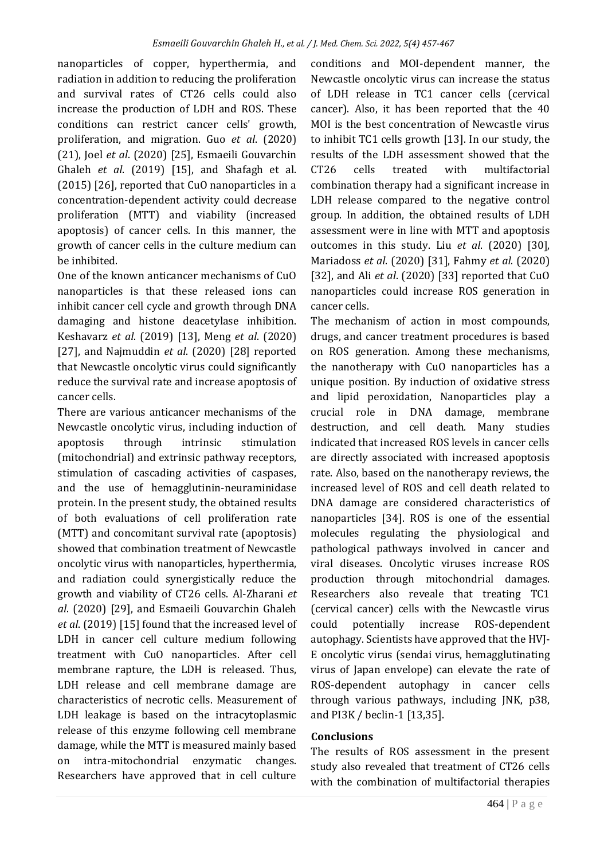nanoparticles of copper, hyperthermia, and radiation in addition to reducing the proliferation and survival rates of CT26 cells could also increase the production of LDH and ROS. These conditions can restrict cancer cells' growth, proliferation, and migration. Guo *et al*. (2020) (21), Joel *et al*. (2020) [25], Esmaeili Gouvarchin Ghaleh *et al*. (2019) [15], and Shafagh et al. (2015) [26], reported that CuO nanoparticles in a concentration-dependent activity could decrease proliferation (MTT) and viability (increased apoptosis) of cancer cells. In this manner, the growth of cancer cells in the culture medium can be inhibited.

One of the known anticancer mechanisms of CuO nanoparticles is that these released ions can inhibit cancer cell cycle and growth through DNA damaging and histone deacetylase inhibition. Keshavarz *et al*. (2019) [13], Meng *et al*. (2020) [27], and Najmuddin *et al*. (2020) [28] reported that Newcastle oncolytic virus could significantly reduce the survival rate and increase apoptosis of cancer cells.

There are various anticancer mechanisms of the Newcastle oncolytic virus, including induction of apoptosis through intrinsic stimulation (mitochondrial) and extrinsic pathway receptors, stimulation of cascading activities of caspases, and the use of hemagglutinin-neuraminidase protein. In the present study, the obtained results of both evaluations of cell proliferation rate (MTT) and concomitant survival rate (apoptosis) showed that combination treatment of Newcastle oncolytic virus with nanoparticles, hyperthermia, and radiation could synergistically reduce the growth and viability of CT26 cells. Al-Zharani *et al*. (2020) [29], and Esmaeili Gouvarchin Ghaleh *et al*. (2019) [15] found that the increased level of LDH in cancer cell culture medium following treatment with CuO nanoparticles. After cell membrane rapture, the LDH is released. Thus, LDH release and cell membrane damage are characteristics of necrotic cells. Measurement of LDH leakage is based on the intracytoplasmic release of this enzyme following cell membrane damage, while the MTT is measured mainly based on intra-mitochondrial enzymatic changes. Researchers have approved that in cell culture

conditions and MOI-dependent manner, the Newcastle oncolytic virus can increase the status of LDH release in TC1 cancer cells (cervical cancer). Also, it has been reported that the 40 MOI is the best concentration of Newcastle virus to inhibit TC1 cells growth [13]. In our study, the results of the LDH assessment showed that the CT26 cells treated with multifactorial combination therapy had a significant increase in LDH release compared to the negative control group. In addition, the obtained results of LDH assessment were in line with MTT and apoptosis outcomes in this study. Liu *et al*. (2020) [30], Mariadoss *et al*. (2020) [31], Fahmy *et al*. (2020) [32], and Ali *et al*. (2020) [33] reported that CuO nanoparticles could increase ROS generation in cancer cells.

The mechanism of action in most compounds, drugs, and cancer treatment procedures is based on ROS generation. Among these mechanisms, the nanotherapy with CuO nanoparticles has a unique position. By induction of oxidative stress and lipid peroxidation, Nanoparticles play a crucial role in DNA damage, membrane destruction, and cell death. Many studies indicated that increased ROS levels in cancer cells are directly associated with increased apoptosis rate. Also, based on the nanotherapy reviews, the increased level of ROS and cell death related to DNA damage are considered characteristics of nanoparticles [34]. ROS is one of the essential molecules regulating the physiological and pathological pathways involved in cancer and viral diseases. Oncolytic viruses increase ROS production through mitochondrial damages. Researchers also reveale that treating TC1 (cervical cancer) cells with the Newcastle virus could potentially increase ROS-dependent autophagy. Scientists have approved that the HVJ-E oncolytic virus (sendai virus, hemagglutinating virus of Japan envelope) can elevate the rate of ROS-dependent autophagy in cancer cells through various pathways, including JNK, p38, and PI3K / beclin-1 [13,35].

#### **Conclusions**

The results of ROS assessment in the present study also revealed that treatment of CT26 cells with the combination of multifactorial therapies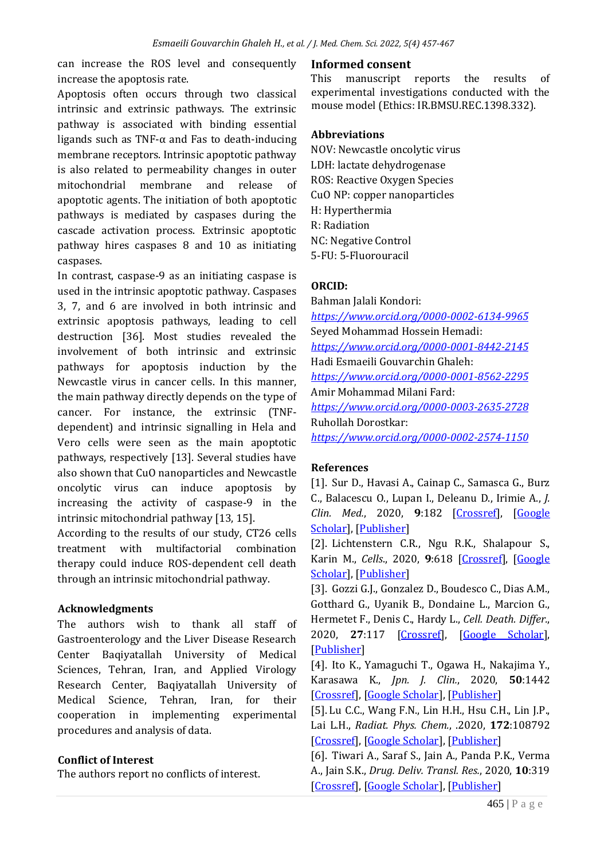can increase the ROS level and consequently increase the apoptosis rate.

Apoptosis often occurs through two classical intrinsic and extrinsic pathways. The extrinsic pathway is associated with binding essential ligands such as TNF-α and Fas to death-inducing membrane receptors. Intrinsic apoptotic pathway is also related to permeability changes in outer mitochondrial membrane and release of apoptotic agents. The initiation of both apoptotic pathways is mediated by caspases during the cascade activation process. Extrinsic apoptotic pathway hires caspases 8 and 10 as initiating caspases.

In contrast, caspase-9 as an initiating caspase is used in the intrinsic apoptotic pathway. Caspases 3, 7, and 6 are involved in both intrinsic and extrinsic apoptosis pathways, leading to cell destruction [36]. Most studies revealed the involvement of both intrinsic and extrinsic pathways for apoptosis induction by the Newcastle virus in cancer cells. In this manner, the main pathway directly depends on the type of cancer. For instance, the extrinsic (TNFdependent) and intrinsic signalling in Hela and Vero cells were seen as the main apoptotic pathways, respectively [13]. Several studies have also shown that CuO nanoparticles and Newcastle oncolytic virus can induce apoptosis by increasing the activity of caspase-9 in the intrinsic mitochondrial pathway [13, 15].

According to the results of our study, CT26 cells treatment with multifactorial combination therapy could induce ROS-dependent cell death through an intrinsic mitochondrial pathway.

#### **Acknowledgments**

The authors wish to thank all staff of Gastroenterology and the Liver Disease Research Center Baqiyatallah University of Medical Sciences, Tehran, Iran, and Applied Virology Research Center, Baqiyatallah University of Medical Science, Tehran, Iran, for their cooperation in implementing experimental procedures and analysis of data.

# **Conflict of Interest**

The authors report no conflicts of interest.

#### **Informed consent**

This manuscript reports the results of experimental investigations conducted with the mouse model (Ethics: IR.BMSU.REC.1398.332).

#### **Abbreviations**

NOV: Newcastle oncolytic virus LDH: lactate dehydrogenase ROS: Reactive Oxygen Species CuO NP: copper nanoparticles H: Hyperthermia R: Radiation NC: Negative Control 5-FU: 5-Fluorouracil

## **ORCID:**

Bahman Jalali Kondori: *<https://www.orcid.org/0000-0002-6134-9965>* Seyed Mohammad Hossein Hemadi: *<https://www.orcid.org/0000-0001-8442-2145>* Hadi Esmaeili Gouvarchin Ghaleh: *<https://www.orcid.org/0000-0001-8562-2295>* Amir Mohammad Milani Fard: *<https://www.orcid.org/0000-0003-2635-2728>* Ruhollah Dorostkar: *<https://www.orcid.org/0000-0002-2574-1150>*

# **References**

[1]. Sur D., Havasi A., Cainap C., Samasca G., Burz C., Balacescu O., Lupan I., Deleanu D., Irimie A., *J. Clin. Med.*, 2020, **9**:182 [\[Crossref\]](https://doi.org/10.3390/jcm9010182), [\[Google](https://scholar.google.com/scholar?q=Chimeric+Antigen+Receptor+T-Cell+Therapy+for+Colorectal+Cancer&hl=en&as_sdt=0,5)  [Scholar\]](https://scholar.google.com/scholar?q=Chimeric+Antigen+Receptor+T-Cell+Therapy+for+Colorectal+Cancer&hl=en&as_sdt=0,5), [\[Publisher\]](https://www.mdpi.com/2077-0383/9/1/182)

[2]. Lichtenstern C.R., Ngu R.K., Shalapour S., Karin M., *Cells*., 2020, **9**:618 [\[Crossref\]](https://doi.org/10.3390/cells9030618), [\[Google](https://scholar.google.com/scholar?hl=en&as_sdt=0%2C5&q=Immunotherapy%2C+Inflammation+and+Colorectal+Cancer&btnG=)  [Scholar\]](https://scholar.google.com/scholar?hl=en&as_sdt=0%2C5&q=Immunotherapy%2C+Inflammation+and+Colorectal+Cancer&btnG=), [\[Publisher\]](https://www.mdpi.com/2073-4409/9/3/618)

[3]. Gozzi G.J., Gonzalez D., Boudesco C., Dias A.M., Gotthard G., Uyanik B., Dondaine L., Marcion G., Hermetet F., Denis C., Hardy L., *Cell. Death. Differ.*, 2020, **27**:117 [\[Crossref\]](https://doi.org/10.1038/s41418-019-0343-4), [\[Google Scholar\]](https://scholar.google.com/scholar?hl=en&as_sdt=0%2C5&q=Selecting+the+first+chemical+molecule+inhibitor+of+HSP110+for+colorectal+cancer+therapy&btnG=), [\[Publisher\]](https://www.nature.com/articles/s41418-019-0343-4#citeas)

[4]. Ito K., Yamaguchi T., Ogawa H., Nakajima Y., Karasawa K., *Jpn. J. Clin.*, 2020, **50**:1442 [\[Crossref\]](https://doi.org/10.1093/jjco/hyaa128), [\[Google Scholar\]](https://scholar.google.com/scholar?hl=en&as_sdt=0%2C5&q=Stereotactic+body+radiotherapy+for+bone+metastases+in+patients+with+colorectal+cancer&btnG=), [\[Publisher\]](https://academic.oup.com/jjco/article/50/12/1442/5876939)

[5]. Lu C.C., Wang F.N., Lin H.H., Hsu C.H., Lin J.P., Lai L.H., *Radiat. Phys. Chem.*, .2020, **172**:108792 [\[Crossref\]](https://doi.org/10.1016/j.radphyschem.2020.108792), [\[Google Scholar\]](https://scholar.google.com/scholar?hl=en&as_sdt=0%2C5&q=Dosimetric+measurement+of+testicular+dose+for+colorectal+cancer+using+optically-stimulated+luminescent+dosimeters+in+radiotherapy&btnG=), [\[Publisher\]](https://www.sciencedirect.com/science/article/abs/pii/S0969806X19309971?via%3Dihub)

[6]. Tiwari A., Saraf S., Jain A., Panda P.K., Verma A., Jain S.K., *Drug. Deliv. Transl. Res.*, 2020, **10**:319 [\[Crossref\]](https://doi.org/10.1007/s13346-019-00680-9), [\[Google Scholar\]](https://scholar.google.com/scholar?hl=en&as_sdt=0%2C5&q=Basics+to+advances+in+nanotherapy+of+colorectal+cancer&btnG=), [\[Publisher\]](https://link.springer.com/article/10.1007%2Fs13346-019-00680-9#citeas)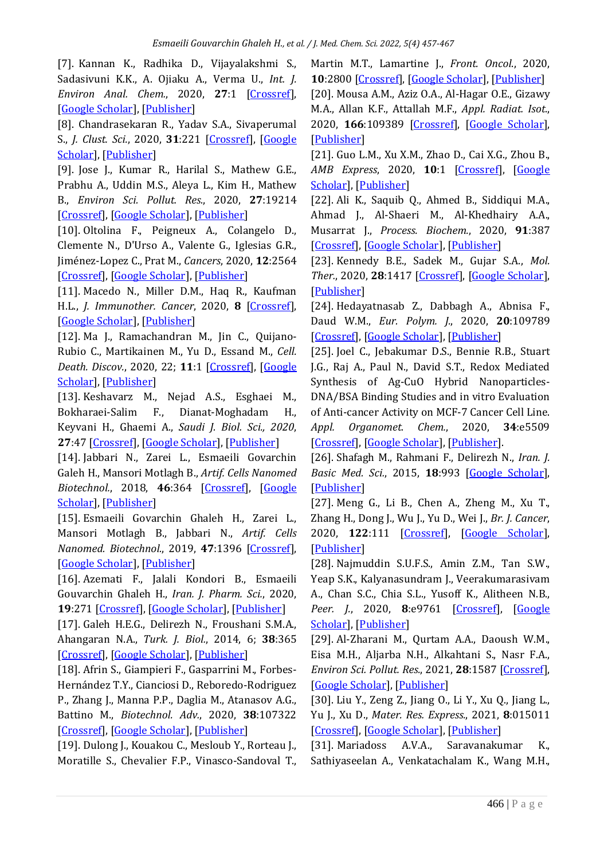[7]. Kannan K., Radhika D., Vijayalakshmi S., Sadasivuni K.K., A. Ojiaku A., Verma U., *Int. J. Environ Anal. Chem.*, 2020, **27**:1 [\[Crossref\]](https://doi.org/10.1080/03067319.2020.1733543), [\[Google Scholar\]](https://scholar.google.com/scholar?hl=en&as_sdt=0%2C5&q=Facile+fabrication+of+CuO+nanoparticles+via+microwave-assisted+method%3A+photocatalytic%2C+antimicrobial+and+anticancer+enhancing+performance&btnG=), [\[Publisher\]](https://www.tandfonline.com/doi/full/10.1080/03067319.2020.1733543)

[8]. Chandrasekaran R., Yadav S.A., Sivaperumal S., *J. Clust. Sci.*, 2020, **31**:221 [\[Crossref\]](https://doi.org/10.1007/s10876-019-01640-6), [\[Google](https://scholar.google.com/scholar?hl=en&as_sdt=0%2C5&q=Phytosynthesis+and+Characterization+of+Copper+Oxide+Nanoparticles+using+the+Aqueous+Extract+of+Beta+vulgaris+L+and+Evaluation+of+their+Antibacterial+and+Anticancer+Activities&btnG=)  [Scholar\]](https://scholar.google.com/scholar?hl=en&as_sdt=0%2C5&q=Phytosynthesis+and+Characterization+of+Copper+Oxide+Nanoparticles+using+the+Aqueous+Extract+of+Beta+vulgaris+L+and+Evaluation+of+their+Antibacterial+and+Anticancer+Activities&btnG=), [\[Publisher\]](https://link.springer.com/article/10.1007%2Fs10876-019-01640-6)

[9]. Jose J., Kumar R., Harilal S., Mathew G.E., Prabhu A., Uddin M.S., Aleya L., Kim H., Mathew B., *Environ Sci. Pollut. Res.*, 2020, **27**:19214 [\[Crossref\]](https://doi.org/10.1007/s11356-019-07231-2), [\[Google Scholar\]](https://scholar.google.com/scholar?hl=en&as_sdt=0%2C5&q=Magnetic+nanoparticles+for+hyperthermia+in+cancer+treatment%3A+an+emerging+tool&btnG=), [\[Publisher\]](https://link.springer.com/article/10.1007%2Fs11356-019-07231-2)

[10]. Oltolina F., Peigneux A., Colangelo D., Clemente N., D'Urso A., Valente G., Iglesias G.R., Jiménez-Lopez C., Prat M., *Cancers*, 2020, **12**:2564 [\[Crossref\]](https://doi.org/10.3390/cancers12092564), [\[Google Scholar\]](https://scholar.google.com/scholar?hl=en&as_sdt=0%2C5&q=Biomimetic+Magnetite+Nanoparticles+as+Targeted+Drug+Nanocarriers+and+Mediators+of+Hyperthermia+in+an+Experimental+Cancer+Model&btnG=), [\[Publisher\]](https://www.mdpi.com/2072-6694/12/9/2564)

[11]. Macedo N., Miller D.M., Haq R., Kaufman H.L., *J. Immunother. Cancer*, 2020, **8** [\[Crossref\]](https://doi.org/10.1136/jitc-2020-001486), [\[Google Scholar\]](https://scholar.google.com/scholar?hl=en&as_sdt=0%2C5&q=Clinical+landscape+of+oncolytic+virus+research+in+2020&btnG=), [\[Publisher\]](https://jitc.bmj.com/content/8/2/e001486)

[12]. Ma J., Ramachandran M., Jin C., Quijano-Rubio C., Martikainen M., Yu D., Essand M., *Cell. Death. Discov.*, 2020, 22; **11**:1 [\[Crossref\]](https://doi.org/10.1038/s41419-020-2236-3), [\[Google](https://scholar.google.com/scholar?hl=en&as_sdt=0%2C5&q=Characterization+of+virus-mediated+immunogenic+cancer+cell+death+and+the+consequences+for+oncolytic+virus-based+immunotherapy+of+cancer&btnG=)  [Scholar\]](https://scholar.google.com/scholar?hl=en&as_sdt=0%2C5&q=Characterization+of+virus-mediated+immunogenic+cancer+cell+death+and+the+consequences+for+oncolytic+virus-based+immunotherapy+of+cancer&btnG=), [\[Publisher\]](https://www.nature.com/articles/s41419-020-2236-3)

[13]. Keshavarz M., Nejad A.S., Esghaei M., Bokharaei-Salim F., Dianat-Moghadam H., Keyvani H., Ghaemi A., *Saudi J. Biol. Sci., 2020*, **27**:47 [\[Crossref\]](https://doi.org/10.1016/j.sjbs.2019.04.015), [\[Google Scholar\]](https://scholar.google.com/scholar?hl=en&as_sdt=0%2C5&q=Oncolytic+Newcastle+disease+virus+reduces+growth+of+cervical+cancer+cell+by+inducing+apoptosis&btnG=), [\[Publisher\]](https://www.sciencedirect.com/science/article/pii/S1319562X19300695?via%3Dihub)

[14]. Jabbari N., Zarei L., Esmaeili Govarchin Galeh H., Mansori Motlagh B., *Artif. Cells Nanomed Biotechnol.*, 2018, **46**:364 [\[Crossref\]](https://doi.org/10.1080/21691401.2018.1457537), [\[Google](https://scholar.google.com/scholar?hl=en&as_sdt=0%2C5&q=Assessment+of+synergistic+effect+of+combining+hyperthermia+with+irradiation+and+calcium+carbonate+nanoparticles+on+proliferation+of+human+breast+adenocarcinoma+cell+line+%28MCF-7+cells%29&btnG=)  [Scholar\]](https://scholar.google.com/scholar?hl=en&as_sdt=0%2C5&q=Assessment+of+synergistic+effect+of+combining+hyperthermia+with+irradiation+and+calcium+carbonate+nanoparticles+on+proliferation+of+human+breast+adenocarcinoma+cell+line+%28MCF-7+cells%29&btnG=), [\[Publisher\]](https://www.tandfonline.com/doi/full/10.1080/21691401.2018.1457537)

[15]. Esmaeili Govarchin Ghaleh H., Zarei L., Mansori Motlagh B., Jabbari N., *Artif. Cells Nanomed. Biotechnol.*, 2019, **47**:1396 [\[Crossref\]](https://doi.org/10.1080/21691401.2019.1600529), [\[Google Scholar\]](https://scholar.google.com/scholar?hl=en&as_sdt=0%2C5&q=Using+CuO+nanoparticles+and+hyperthermia+in+radiotherapy+of+MCF-7+cell+line%3A+synergistic+effect+in+cancer+therapy&btnG=), [\[Publisher\]](https://www.tandfonline.com/doi/full/10.1080/21691401.2019.1600529)

[16]. Azemati F., Jalali Kondori B., Esmaeili Gouvarchin Ghaleh H., *Iran. J. Pharm. Sci.*, 2020, **19**:271 [\[Crossref\]](https://dx.doi.org/10.22037%2Fijpr.2020.1100921), [\[Google Scholar\]](https://scholar.google.com/scholar?hl=en&as_sdt=0%2C5&q=Therapeutic+Potential+of+Nanoparticle-loaded+Hydroxyurea+on+Proliferation+of+Human+Breast+Adenocarcinoma+Cell+Line&btnG=), [\[Publisher\]](http://ijpr.sbmu.ac.ir/article_1100921.html)

[17]. Galeh H.E.G., Delirezh N., Froushani S.M.A., Ahangaran N.A., *Turk. J. Biol.*, 2014, 6; **38**:365 [\[Crossref\]](https://doi.org/10.3906/biy-1310-40), [\[Google Scholar\]](https://scholar.google.com/scholar?hl=en&as_sdt=0%2C5&q=Calcitriol+modulates+the+effects+of+the+supernatants+of+bone-marrow%E2%80%93derived+mesenchymal+stem+cells+on+neutrophil+functions&btnG=), [\[Publisher\]](https://journals.tubitak.gov.tr/biology/issues/biy-14-38-3/biy-38-3-7-1310-40.pdf)

[18]. Afrin S., Giampieri F., Gasparrini M., Forbes-Hernández T.Y., Cianciosi D., Reboredo-Rodriguez P., Zhang J., Manna P.P., Daglia M., Atanasov A.G., Battino M., *Biotechnol. Adv.*, 2020, **38**:107322 [\[Crossref\]](https://doi.org/10.1016/j.biotechadv.2018.11.011), [\[Google Scholar\]](https://scholar.google.com/scholar?hl=en&as_sdt=0%2C5&q=Dietary+phytochemicals+in+colorectal+cancer+prevention+and+treatment%3A+A+focus+on+the+molecular+mechanisms+involved&btnG=), [\[Publisher\]](https://www.sciencedirect.com/science/article/abs/pii/S0734975018301952?via%3Dihub)

[19]. Dulong J., Kouakou C., Mesloub Y., Rorteau J., Moratille S., Chevalier F.P., Vinasco-Sandoval T., Martin M.T., Lamartine J., *Front. Oncol*., 2020, **10**:2800 [\[Crossref\]](https://doi.org/10.3389/fonc.2020.589168), [\[Google Scholar\]](https://scholar.google.com/scholar?hl=en&as_sdt=0%2C5&q=NFATC2+Modulates+Radiation+Sensitivity+in+Dermal+Fibroblasts+From+Patients+With+Severe+Side+Effects+of+Radiotherapy&btnG=), [\[Publisher\]](https://www.frontiersin.org/articles/10.3389/fonc.2020.589168/full)

[20]. Mousa A.M., Aziz O.A., Al-Hagar O.E., Gizawy M.A., Allan K.F., Attallah M.F., *Appl. Radiat. Isot.*, 2020, **166**:109389 [\[Crossref\]](https://doi.org/10.1016/j.apradiso.2020.109389), [\[Google Scholar\]](https://scholar.google.com/scholar?hl=en&as_sdt=0%2C5&q=Biosynthetic+new+composite+material+containing+CuO+nanoparticles+produced+by+Aspergillus+terreus+for+47Sc+separation+of+cancer+theranostics+application+from+irradiated+Ca+target&btnG=), [\[Publisher\]](https://www.sciencedirect.com/science/article/abs/pii/S0969804320305364?via%3Dihub)

[21]. Guo L.M., Xu X.M., Zhao D., Cai X.G., Zhou B., *AMB Express*, 2020, **10**:1 [\[Crossref\]](https://doi.org/10.1186/s13568-020-01096-2), [\[Google](https://scholar.google.com/scholar?q=Biosynthesis,+characterization+of+PLGA+coated+folate-mediated+multiple+drug+loaded+copper+oxide+(CuO)+nanoparticles+and+it%E2%80%99s+cytotoxicity+on+nasopharyngeal+cancer+cell+lines&hl=en&as_sdt=0,5)  [Scholar\]](https://scholar.google.com/scholar?q=Biosynthesis,+characterization+of+PLGA+coated+folate-mediated+multiple+drug+loaded+copper+oxide+(CuO)+nanoparticles+and+it%E2%80%99s+cytotoxicity+on+nasopharyngeal+cancer+cell+lines&hl=en&as_sdt=0,5), [\[Publisher\]](https://amb-express.springeropen.com/articles/10.1186/s13568-020-01096-2)

[22]. Ali K., Saquib Q., Ahmed B., Siddiqui M.A., Ahmad J., Al-Shaeri M., Al-Khedhairy A.A., Musarrat J., *Process. Biochem.*, 2020, **91**:387 [\[Crossref\]](https://doi.org/10.1016/j.procbio.2020.01.008), [\[Google Scholar\]](https://scholar.google.com/scholar?hl=en&as_sdt=0%2C5&q=Bio-functionalized+CuO+nanoparticles+induced+apoptotic+activities+in+human+breast+carcinoma+cells+and+toxicity+against+Aspergillus+flavus%3A+An+in+vitro+approach&btnG=), [\[Publisher\]](https://www.sciencedirect.com/science/article/abs/pii/S1359511319313662?via%3Dihub)

[23]. Kennedy B.E., Sadek M., Gujar S.A., *Mol. Ther.*, 2020, **28**:1417 [\[Crossref\]](https://doi.org/10.1016/j.ymthe.2020.03.014), [\[Google Scholar\]](https://scholar.google.com/scholar?hl=en&as_sdt=0%2C5&q=Targeted+Metabolic+Reprogramming+to+Improve+the+Efficacy+of+Oncolytic+Virus+Therapy&btnG=), [\[Publisher\]](https://www.cell.com/molecular-therapy-family/molecular-therapy/fulltext/S1525-0016(20)30148-9?_returnURL=https%3A%2F%2Flinkinghub.elsevier.com%2Fretrieve%2Fpii%2FS1525001620301489%3Fshowall%3Dtrue)

[24]. Hedayatnasab Z., Dabbagh A., Abnisa F., Daud W.M., *Eur. Polym. J.*, 2020, **20**:109789 [\[Crossref\]](https://doi.org/10.1016/j.eurpolymj.2020.109789), [\[Google Scholar\]](https://scholar.google.com/scholar?hl=en&as_sdt=0%2C5&q=Polycaprolactone-coated+superparamagnetic+iron+oxide+nanoparticles+for+in+vitro+magnetic+hyperthermia+therapy+of+cancer&btnG=), [\[Publisher\]](https://www.sciencedirect.com/science/article/abs/pii/S0014305720304948?via%3Dihub)

[25]. Joel C., Jebakumar D.S., Bennie R.B., Stuart J.G., Raj A., Paul N., David S.T., Redox Mediated Synthesis of Ag-CuO Hybrid Nanoparticles-DNA/BSA Binding Studies and in vitro Evaluation of Anti-cancer Activity on MCF-7 Cancer Cell Line. *Appl. Organomet. Chem.*, 2020, **34**:e5509 [\[Crossref\]](https://doi.org/10.1002/aoc.5509), [\[Google Scholar\]](https://scholar.google.com/scholar?hl=en&as_sdt=0%2C5&q=Redox+Mediated+Synthesis+of+Ag-CuO+Hybrid+Nanoparticles+%E2%80%93+DNA%2FBSA+Binding+Studies+and+in+vitro+Evaluation+of+Anti-cancer+Activity+on+MCF-7+Cancer+Cell+Line&btnG=), [\[Publisher\]](https://onlinelibrary.wiley.com/doi/10.1002/aoc.5509).

[26]. Shafagh M., Rahmani F., Delirezh N., *Iran. J. Basic Med. Sci.*, 2015, **18**:993 [\[Google Scholar\]](https://scholar.google.com/scholar?hl=en&as_sdt=0%2C5&q=+CuO+nanoparticles+induce+cytotoxicity+and+apoptosis+in+human+K562+cancer+cell+line+via+mitochondrial+pathway%2C+through+reactive+oxygen+species+and+P53.+Iran.+J.+Basic+Med.+Sci.%2C+2015%2C+18%3A993+&btnG=), [\[Publisher\]](https://www.ncbi.nlm.nih.gov/pmc/articles/PMC4686584/)

[27]. Meng G., Li B., Chen A., Zheng M., Xu T., Zhang H., Dong J., Wu J., Yu D., Wei J., *Br. J. Cancer*, 2020, **122**:111 [\[Crossref\]](https://doi.org/10.1038/s41416-019-0639-7), [\[Google Scholar\]](https://scholar.google.com/scholar?hl=en&as_sdt=0%2C5&q=Targeting+aerobic+glycolysis+by+dichloroacetate+improves+Newcastle+disease+virus-mediated+viro-immunotherapy+in+hepatocellular+carcinoma&btnG=), [\[Publisher\]](https://www.nature.com/articles/s41416-019-0639-7)

[28]. Najmuddin S.U.F.S., Amin Z.M., Tan S.W., Yeap S.K., Kalyanasundram J., Veerakumarasivam A., Chan S.C., Chia S.L., Yusoff K., Alitheen N.B., *Peer. J.*, 2020, **8**:e9761 [\[Crossref\]](https://doi.org/10.7717/peerj.9761), [\[Google](https://scholar.google.com/scholar?hl=en&as_sdt=0%2C5&q=Oncolytic+effects+of+the+recombinant+Newcastle+disease+virus%2C+rAF-IL12%2C+against+colon+cancer+cells+in+vitro+and+in+tumor-challenged+NCr-Foxn1nu+nude+mice&btnG=)  [Scholar\]](https://scholar.google.com/scholar?hl=en&as_sdt=0%2C5&q=Oncolytic+effects+of+the+recombinant+Newcastle+disease+virus%2C+rAF-IL12%2C+against+colon+cancer+cells+in+vitro+and+in+tumor-challenged+NCr-Foxn1nu+nude+mice&btnG=), [\[Publisher\]](https://peerj.com/articles/9761/)

[29]. Al-Zharani M., Qurtam A.A., Daoush W.M., Eisa M.H., Aljarba N.H., Alkahtani S., Nasr F.A., *Environ Sci. Pollut. Res.*, 2021, **28**:1587 [\[Crossref\]](https://doi.org/10.1007/s11356-020-09843-5), [\[Google Scholar\]](https://scholar.google.com/scholar?hl=en&as_sdt=0%2C5&q=Antitumor+effect+of+copper+nanoparticles+on+human+breast+and+colon+malignancies&btnG=), [\[Publisher\]](https://link.springer.com/article/10.1007/s11356-020-09843-5)

[30]. Liu Y., Zeng Z., Jiang O., Li Y., Xu Q., Jiang L., Yu J., Xu D., *Mater. Res. Express.*, 2021, **8**:015011 [\[Crossref\]](https://doi.org/10.1088/2053-1591/abd666), [\[Google Scholar\]](https://scholar.google.com/scholar?hl=en&as_sdt=0%2C5&q=Green+synthesis+of+CuO+NPs%2C+characterization+and+their+toxicity+potential+against+HepG2+cells&btnG=), [\[Publisher\]](https://iopscience.iop.org/article/10.1088/2053-1591/abd666)

[31]. Mariadoss A.V.A., Saravanakumar K., Sathiyaseelan A., Venkatachalam K., Wang M.H.,